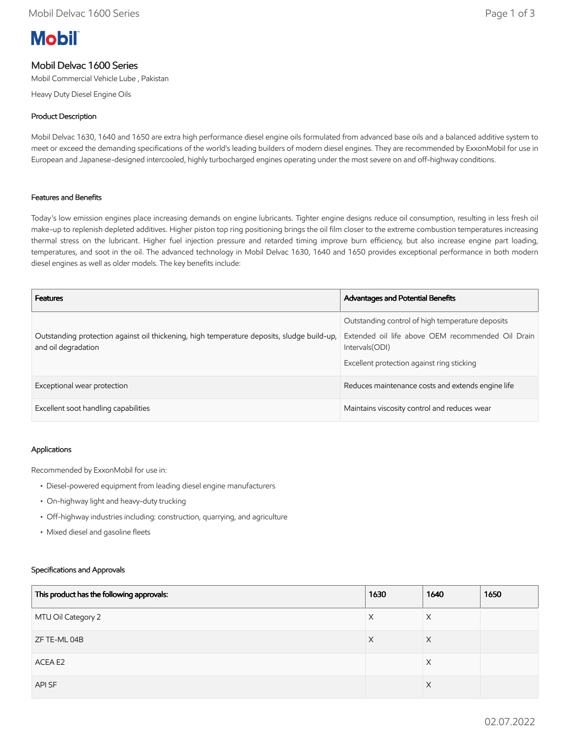# **Mobil**

## Mobil Delvac 1600 Series

Mobil Commercial Vehicle Lube , Pakistan

Heavy Duty Diesel Engine Oils

## Product Description

Mobil Delvac 1630, 1640 and 1650 are extra high performance diesel engine oils formulated from advanced base oils and a balanced additive system to meet or exceed the demanding specifications of the world's leading builders of modern diesel engines. They are recommended by ExxonMobil for use in European and Japanese-designed intercooled, highly turbocharged engines operating under the most severe on and off-highway conditions.

### Features and Benefits

Today's low emission engines place increasing demands on engine lubricants. Tighter engine designs reduce oil consumption, resulting in less fresh oil make-up to replenish depleted additives. Higher piston top ring positioning brings the oil film closer to the extreme combustion temperatures increasing thermal stress on the lubricant. Higher fuel injection pressure and retarded timing improve burn efficiency, but also increase engine part loading, temperatures, and soot in the oil. The advanced technology in Mobil Delvac 1630, 1640 and 1650 provides exceptional performance in both modern diesel engines as well as older models. The key benefits include:

| <b>Features</b>                                                                                                   | <b>Advantages and Potential Benefits</b>                                                                                                                               |
|-------------------------------------------------------------------------------------------------------------------|------------------------------------------------------------------------------------------------------------------------------------------------------------------------|
| Outstanding protection against oil thickening, high temperature deposits, sludge build-up,<br>and oil degradation | Outstanding control of high temperature deposits<br>Extended oil life above OEM recommended Oil Drain<br>Intervals (ODI)<br>Excellent protection against ring sticking |
| Exceptional wear protection                                                                                       | Reduces maintenance costs and extends engine life                                                                                                                      |
| Excellent soot handling capabilities                                                                              | Maintains viscosity control and reduces wear                                                                                                                           |

#### Applications

Recommended by ExxonMobil for use in:

- Diesel-powered equipment from leading diesel engine manufacturers
- On-highway light and heavy-duty trucking
- Off-highway industries including: construction, quarrying, and agriculture
- Mixed diesel and gasoline fleets

#### Specifications and Approvals

| This product has the following approvals: | 1630 | 1640     | 1650 |
|-------------------------------------------|------|----------|------|
| MTU Oil Category 2                        | X    | X        |      |
| ZF TE-ML 04B                              | X    | $\times$ |      |
| ACEA E2                                   |      | X        |      |
| API SF                                    |      | X        |      |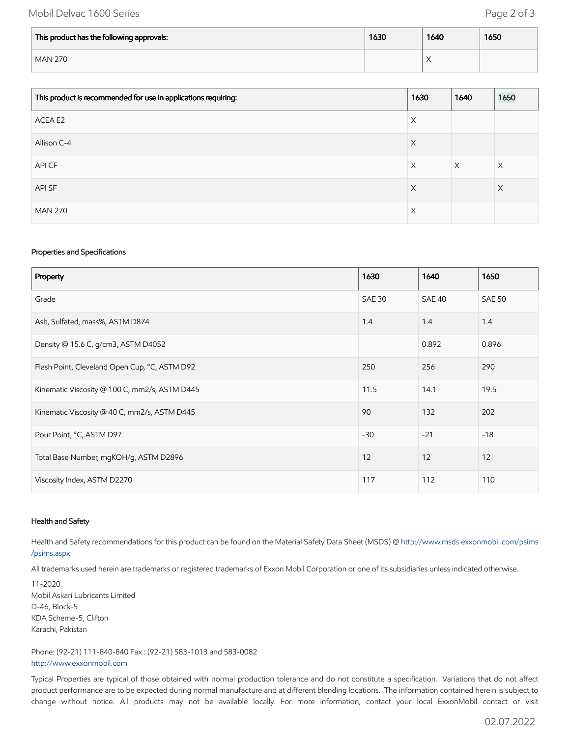## Mobil Delvac 1600 Series **Page 2 of 3**

| This product has the following approvals: | 1630 | 1640 | 1650 |
|-------------------------------------------|------|------|------|
| <b>MAN 270</b>                            |      | ⌒    |      |

| This product is recommended for use in applications requiring: | 1630 | 1640     | 1650 |
|----------------------------------------------------------------|------|----------|------|
| ACEA E2                                                        | X    |          |      |
| Allison C-4                                                    | X    |          |      |
| API CF                                                         | X    | $\times$ | Χ    |
| API SF                                                         | X    |          | X    |
| <b>MAN 270</b>                                                 | Χ    |          |      |

#### Properties and Specifications

| Property                                      | 1630          | 1640   | 1650          |
|-----------------------------------------------|---------------|--------|---------------|
| Grade                                         | <b>SAE 30</b> | SAE 40 | <b>SAE 50</b> |
| Ash, Sulfated, mass%, ASTM D874               | 1.4           | 1.4    | 1.4           |
| Density @ 15.6 C, g/cm3, ASTM D4052           |               | 0.892  | 0.896         |
| Flash Point, Cleveland Open Cup, °C, ASTM D92 | 250           | 256    | 290           |
| Kinematic Viscosity @ 100 C, mm2/s, ASTM D445 | 11.5          | 14.1   | 19.5          |
| Kinematic Viscosity @ 40 C, mm2/s, ASTM D445  | 90            | 132    | 202           |
| Pour Point, °C, ASTM D97                      | $-30$         | $-21$  | $-18$         |
| Total Base Number, mgKOH/g, ASTM D2896        | 12            | 12     | 12            |
| Viscosity Index, ASTM D2270                   | 117           | 112    | 110           |

#### Health and Safety

Health and Safety recommendations for this product can be found on the Material Safety Data Sheet (MSDS) @ [http://www.msds.exxonmobil.com/psims](http://www.msds.exxonmobil.com/psims/psims.aspx) /psims.aspx

All trademarks used herein are trademarks or registered trademarks of Exxon Mobil Corporation or one of its subsidiaries unless indicated otherwise.

11-2020 Mobil Askari Lubricants Limited D-46, Block-5 KDA Scheme-5, Clifton Karachi, Pakistan

Phone: (92-21) 111-840-840 Fax : (92-21) 583-1013 and 583-0082 [http://www.exxonmobil.com](http://www.exxonmobil.com/)

Typical Properties are typical of those obtained with normal production tolerance and do not constitute a specification. Variations that do not affect product performance are to be expected during normal manufacture and at different blending locations. The information contained herein is subject to change without notice. All products may not be available locally. For more information, contact your local ExxonMobil contact or visit